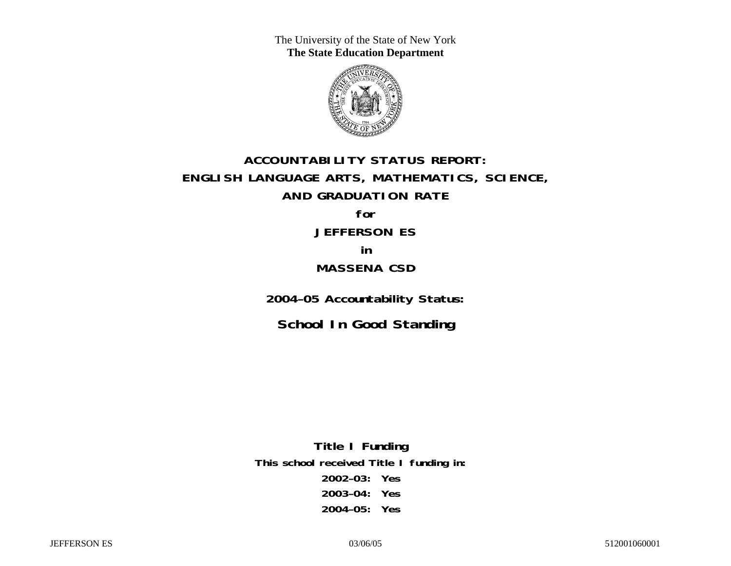The University of the State of New York **The State Education Department** 



## **ACCOUNTABILITY STATUS REPORT: ENGLISH LANGUAGE ARTS, MATHEMATICS, SCIENCE, AND GRADUATION RATE for JEFFERSON ES**

# **in MASSENA CSD**

**2004–05 Accountability Status:** 

**School In Good Standing** 

**Title I Funding This school received Title I funding in: 2002–03: Yes 2003–04: Yes 2004–05: Yes**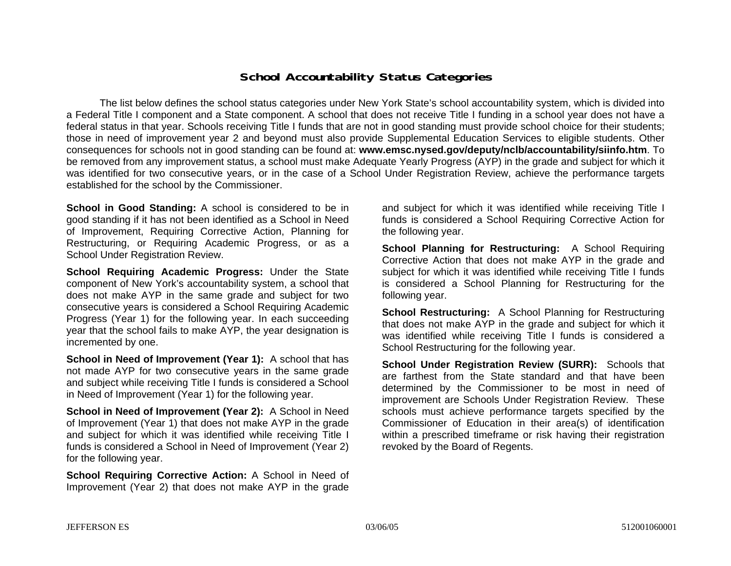### **School Accountability Status Categories**

The list below defines the school status categories under New York State's school accountability system, which is divided into a Federal Title I component and a State component. A school that does not receive Title I funding in a school year does not have a federal status in that year. Schools receiving Title I funds that are not in good standing must provide school choice for their students; those in need of improvement year 2 and beyond must also provide Supplemental Education Services to eligible students. Other consequences for schools not in good standing can be found at: **www.emsc.nysed.gov/deputy/nclb/accountability/siinfo.htm**. To be removed from any improvement status, a school must make Adequate Yearly Progress (AYP) in the grade and subject for which it was identified for two consecutive years, or in the case of a School Under Registration Review, achieve the performance targets established for the school by the Commissioner.

**School in Good Standing:** A school is considered to be in good standing if it has not been identified as a School in Need of Improvement, Requiring Corrective Action, Planning for Restructuring, or Requiring Academic Progress, or as a School Under Registration Review.

**School Requiring Academic Progress:** Under the State component of New York's accountability system, a school that does not make AYP in the same grade and subject for two consecutive years is considered a School Requiring Academic Progress (Year 1) for the following year. In each succeeding year that the school fails to make AYP, the year designation is incremented by one.

**School in Need of Improvement (Year 1):** A school that has not made AYP for two consecutive years in the same grade and subject while receiving Title I funds is considered a School in Need of Improvement (Year 1) for the following year.

**School in Need of Improvement (Year 2):** A School in Need of Improvement (Year 1) that does not make AYP in the grade and subject for which it was identified while receiving Title I funds is considered a School in Need of Improvement (Year 2) for the following year.

**School Requiring Corrective Action:** A School in Need of Improvement (Year 2) that does not make AYP in the grade

and subject for which it was identified while receiving Title I funds is considered a School Requiring Corrective Action for the following year.

**School Planning for Restructuring:** A School Requiring Corrective Action that does not make AYP in the grade and subject for which it was identified while receiving Title I funds is considered a School Planning for Restructuring for the following year.

**School Restructuring:** A School Planning for Restructuring that does not make AYP in the grade and subject for which it was identified while receiving Title I funds is considered a School Restructuring for the following year.

**School Under Registration Review (SURR):** Schools that are farthest from the State standard and that have been determined by the Commissioner to be most in need of improvement are Schools Under Registration Review. These schools must achieve performance targets specified by the Commissioner of Education in their area(s) of identification within a prescribed timeframe or risk having their registration revoked by the Board of Regents.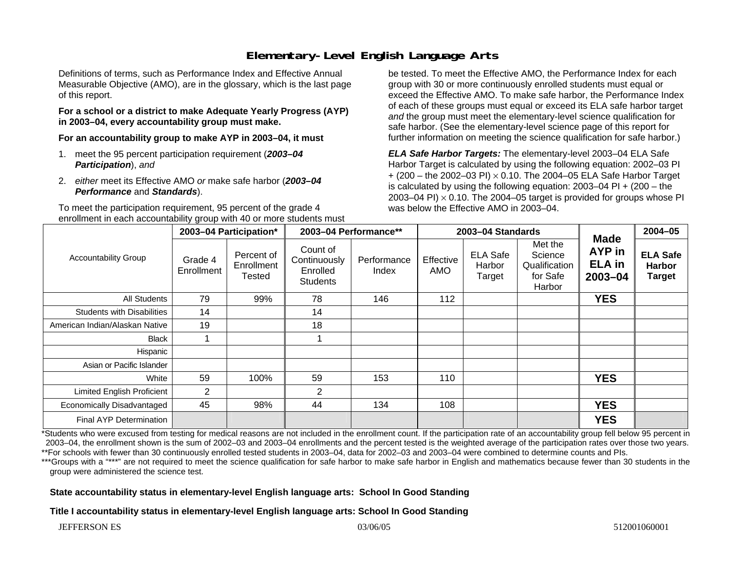### **Elementary-Level English Language Arts**

Definitions of terms, such as Performance Index and Effective Annual Measurable Objective (AMO), are in the glossary, which is the last page of this report.

#### **For a school or a district to make Adequate Yearly Progress (AYP) in 2003–04, every accountability group must make.**

**For an accountability group to make AYP in 2003–04, it must** 

- 1. meet the 95 percent participation requirement (*2003–04 Participation*), *and*
- 2. *either* meet its Effective AMO *or* make safe harbor (*2003–04 Performance* and *Standards*).

To meet the participation requirement, 95 percent of the grade 4 enrollment in each accountability group with 40 or more students must be tested. To meet the Effective AMO, the Performance Index for each group with 30 or more continuously enrolled students must equal or exceed the Effective AMO. To make safe harbor, the Performance Index of each of these groups must equal or exceed its ELA safe harbor target *and* the group must meet the elementary-level science qualification for safe harbor. (See the elementary-level science page of this report for further information on meeting the science qualification for safe harbor.)

*ELA Safe Harbor Targets:* The elementary-level 2003–04 ELA Safe Harbor Target is calculated by using the following equation: 2002–03 PI + (200 – the 2002–03 PI) <sup>×</sup> 0.10. The 2004–05 ELA Safe Harbor Target is calculated by using the following equation: 2003–04 PI + (200 – the 2003–04 PI)  $\times$  0.10. The 2004–05 target is provided for groups whose PI was below the Effective AMO in 2003–04.

| <b>Accountability Group</b>       | 2003-04 Participation* |                                    | 2003-04 Performance**                                   |                      | 2003-04 Standards       |                                     |                                                           | <b>Made</b>                                   | $2004 - 05$                                       |
|-----------------------------------|------------------------|------------------------------------|---------------------------------------------------------|----------------------|-------------------------|-------------------------------------|-----------------------------------------------------------|-----------------------------------------------|---------------------------------------------------|
|                                   | Grade 4<br>Enrollment  | Percent of<br>Enrollment<br>Tested | Count of<br>Continuously<br>Enrolled<br><b>Students</b> | Performance<br>Index | Effective<br><b>AMO</b> | <b>ELA Safe</b><br>Harbor<br>Target | Met the<br>Science<br>Qualification<br>for Safe<br>Harbor | <b>AYP</b> in<br><b>ELA</b> in<br>$2003 - 04$ | <b>ELA Safe</b><br><b>Harbor</b><br><b>Target</b> |
| All Students                      | 79                     | 99%                                | 78                                                      | 146                  | 112                     |                                     |                                                           | <b>YES</b>                                    |                                                   |
| <b>Students with Disabilities</b> | 14                     |                                    | 14                                                      |                      |                         |                                     |                                                           |                                               |                                                   |
| American Indian/Alaskan Native    | 19                     |                                    | 18                                                      |                      |                         |                                     |                                                           |                                               |                                                   |
| <b>Black</b>                      |                        |                                    |                                                         |                      |                         |                                     |                                                           |                                               |                                                   |
| Hispanic                          |                        |                                    |                                                         |                      |                         |                                     |                                                           |                                               |                                                   |
| Asian or Pacific Islander         |                        |                                    |                                                         |                      |                         |                                     |                                                           |                                               |                                                   |
| White                             | 59                     | 100%                               | 59                                                      | 153                  | 110                     |                                     |                                                           | <b>YES</b>                                    |                                                   |
| <b>Limited English Proficient</b> | $\overline{2}$         |                                    | $\overline{2}$                                          |                      |                         |                                     |                                                           |                                               |                                                   |
| Economically Disadvantaged        | 45                     | 98%                                | 44                                                      | 134                  | 108                     |                                     |                                                           | <b>YES</b>                                    |                                                   |
| Final AYP Determination           |                        |                                    |                                                         |                      |                         |                                     |                                                           | <b>YES</b>                                    |                                                   |

\*Students who were excused from testing for medical reasons are not included in the enrollment count. If the participation rate of an accountability group fell below 95 percent in 2003–04, the enrollment shown is the sum of 2002–03 and 2003–04 enrollments and the percent tested is the weighted average of the participation rates over those two years. \*\*For schools with fewer than 30 continuously enrolled tested students in 2003–04, data for 2002–03 and 2003–04 were combined to determine counts and PIs.

\*\*\*Groups with a "\*\*\*" are not required to meet the science qualification for safe harbor to make safe harbor in English and mathematics because fewer than 30 students in the group were administered the science test.

#### **State accountability status in elementary-level English language arts: School In Good Standing**

**Title I accountability status in elementary-level English language arts: School In Good Standing**

JEFFERSON ES 03/06/05 512001060001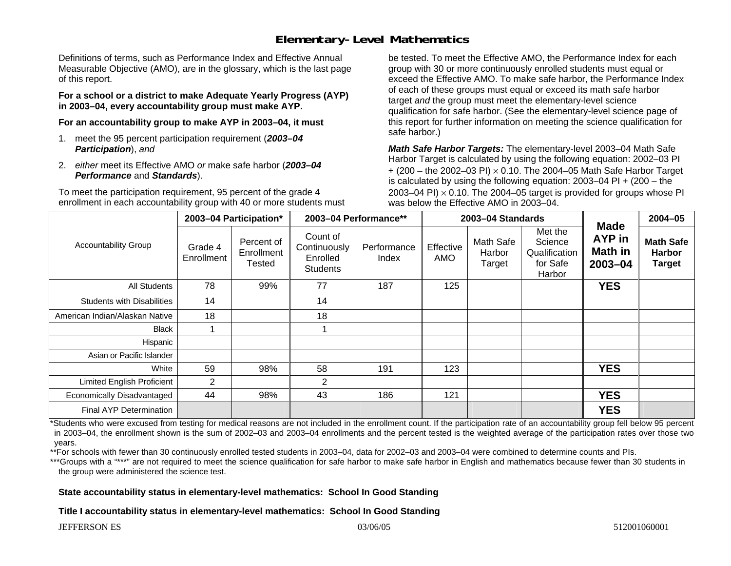### **Elementary-Level Mathematics**

Definitions of terms, such as Performance Index and Effective Annual Measurable Objective (AMO), are in the glossary, which is the last page of this report.

**For a school or a district to make Adequate Yearly Progress (AYP) in 2003–04, every accountability group must make AYP.** 

**For an accountability group to make AYP in 2003–04, it must** 

- 1. meet the 95 percent participation requirement (*2003–04 Participation*), *and*
- 2. *either* meet its Effective AMO *or* make safe harbor (*2003–04 Performance* and *Standards*).

To meet the participation requirement, 95 percent of the grade 4 enrollment in each accountability group with 40 or more students must be tested. To meet the Effective AMO, the Performance Index for each group with 30 or more continuously enrolled students must equal or exceed the Effective AMO. To make safe harbor, the Performance Index of each of these groups must equal or exceed its math safe harbor target *and* the group must meet the elementary-level science qualification for safe harbor. (See the elementary-level science page of this report for further information on meeting the science qualification for safe harbor.)

*Math Safe Harbor Targets:* The elementary-level 2003–04 Math Safe Harbor Target is calculated by using the following equation: 2002–03 PI + (200 – the 2002–03 PI) <sup>×</sup> 0.10. The 2004–05 Math Safe Harbor Target is calculated by using the following equation: 2003–04 PI + (200 – the 2003–04 PI)  $\times$  0.10. The 2004–05 target is provided for groups whose PI was below the Effective AMO in 2003–04.

| <b>Accountability Group</b>       | 2003-04 Participation* |                                    | 2003-04 Performance**                                   |                      | 2003-04 Standards |                               |                                                           |                                             | 2004-05                                            |
|-----------------------------------|------------------------|------------------------------------|---------------------------------------------------------|----------------------|-------------------|-------------------------------|-----------------------------------------------------------|---------------------------------------------|----------------------------------------------------|
|                                   | Grade 4<br>Enrollment  | Percent of<br>Enrollment<br>Tested | Count of<br>Continuously<br>Enrolled<br><b>Students</b> | Performance<br>Index | Effective<br>AMO  | Math Safe<br>Harbor<br>Target | Met the<br>Science<br>Qualification<br>for Safe<br>Harbor | <b>Made</b><br>AYP in<br>Math in<br>2003-04 | <b>Math Safe</b><br><b>Harbor</b><br><b>Target</b> |
| All Students                      | 78                     | 99%                                | 77                                                      | 187                  | 125               |                               |                                                           | <b>YES</b>                                  |                                                    |
| <b>Students with Disabilities</b> | 14                     |                                    | 14                                                      |                      |                   |                               |                                                           |                                             |                                                    |
| American Indian/Alaskan Native    | 18                     |                                    | 18                                                      |                      |                   |                               |                                                           |                                             |                                                    |
| <b>Black</b>                      |                        |                                    |                                                         |                      |                   |                               |                                                           |                                             |                                                    |
| Hispanic                          |                        |                                    |                                                         |                      |                   |                               |                                                           |                                             |                                                    |
| Asian or Pacific Islander         |                        |                                    |                                                         |                      |                   |                               |                                                           |                                             |                                                    |
| White                             | 59                     | 98%                                | 58                                                      | 191                  | 123               |                               |                                                           | <b>YES</b>                                  |                                                    |
| <b>Limited English Proficient</b> | $\overline{2}$         |                                    | 2                                                       |                      |                   |                               |                                                           |                                             |                                                    |
| Economically Disadvantaged        | 44                     | 98%                                | 43                                                      | 186                  | 121               |                               |                                                           | <b>YES</b>                                  |                                                    |
| Final AYP Determination           |                        |                                    |                                                         |                      |                   |                               |                                                           | <b>YES</b>                                  |                                                    |

\*Students who were excused from testing for medical reasons are not included in the enrollment count. If the participation rate of an accountability group fell below 95 percent in 2003–04, the enrollment shown is the sum of 2002–03 and 2003–04 enrollments and the percent tested is the weighted average of the participation rates over those two years.

\*\*For schools with fewer than 30 continuously enrolled tested students in 2003–04, data for 2002–03 and 2003–04 were combined to determine counts and PIs.

\*\*\*Groups with a "\*\*\*" are not required to meet the science qualification for safe harbor to make safe harbor in English and mathematics because fewer than 30 students in the group were administered the science test.

**State accountability status in elementary-level mathematics: School In Good Standing** 

**Title I accountability status in elementary-level mathematics: School In Good Standing**

JEFFERSON ES 03/06/05 512001060001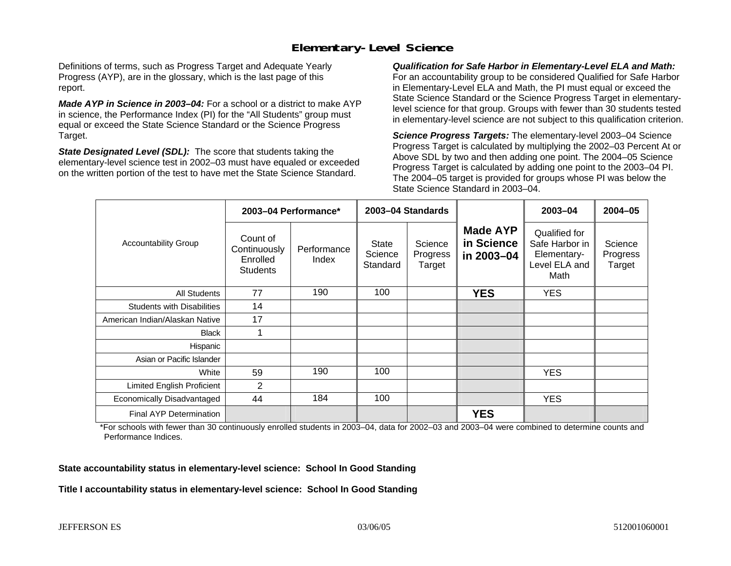### **Elementary-Level Science**

Definitions of terms, such as Progress Target and Adequate Yearly Progress (AYP), are in the glossary, which is the last page of this report.

*Made AYP in Science in 2003–04:* For a school or a district to make AYP in science, the Performance Index (PI) for the "All Students" group must equal or exceed the State Science Standard or the Science Progress Target.

*State Designated Level (SDL):* The score that students taking the elementary-level science test in 2002–03 must have equaled or exceeded on the written portion of the test to have met the State Science Standard.

*Qualification for Safe Harbor in Elementary-Level ELA and Math:* For an accountability group to be considered Qualified for Safe Harbor in Elementary-Level ELA and Math, the PI must equal or exceed the State Science Standard or the Science Progress Target in elementarylevel science for that group. Groups with fewer than 30 students tested in elementary-level science are not subject to this qualification criterion.

*Science Progress Targets:* The elementary-level 2003–04 Science Progress Target is calculated by multiplying the 2002–03 Percent At or Above SDL by two and then adding one point. The 2004–05 Science Progress Target is calculated by adding one point to the 2003–04 PI. The 2004–05 target is provided for groups whose PI was below the State Science Standard in 2003–04.

|                                   | 2003-04 Performance*                                    |                      | 2003-04 Standards                   |                               |                                             | 2003-04                                                                 | $2004 - 05$                   |
|-----------------------------------|---------------------------------------------------------|----------------------|-------------------------------------|-------------------------------|---------------------------------------------|-------------------------------------------------------------------------|-------------------------------|
| <b>Accountability Group</b>       | Count of<br>Continuously<br>Enrolled<br><b>Students</b> | Performance<br>Index | <b>State</b><br>Science<br>Standard | Science<br>Progress<br>Target | <b>Made AYP</b><br>in Science<br>in 2003-04 | Qualified for<br>Safe Harbor in<br>Elementary-<br>Level ELA and<br>Math | Science<br>Progress<br>Target |
| <b>All Students</b>               | 77                                                      | 190                  | 100                                 |                               | <b>YES</b>                                  | <b>YES</b>                                                              |                               |
| <b>Students with Disabilities</b> | 14                                                      |                      |                                     |                               |                                             |                                                                         |                               |
| American Indian/Alaskan Native    | 17                                                      |                      |                                     |                               |                                             |                                                                         |                               |
| <b>Black</b>                      | 1                                                       |                      |                                     |                               |                                             |                                                                         |                               |
| Hispanic                          |                                                         |                      |                                     |                               |                                             |                                                                         |                               |
| Asian or Pacific Islander         |                                                         |                      |                                     |                               |                                             |                                                                         |                               |
| White                             | 59                                                      | 190                  | 100                                 |                               |                                             | <b>YES</b>                                                              |                               |
| Limited English Proficient        | 2                                                       |                      |                                     |                               |                                             |                                                                         |                               |
| Economically Disadvantaged        | 44                                                      | 184                  | 100                                 |                               |                                             | <b>YES</b>                                                              |                               |
| <b>Final AYP Determination</b>    |                                                         |                      |                                     |                               | <b>YES</b>                                  |                                                                         |                               |

\*For schools with fewer than 30 continuously enrolled students in 2003–04, data for 2002–03 and 2003–04 were combined to determine counts and Performance Indices.

**State accountability status in elementary-level science: School In Good Standing** 

**Title I accountability status in elementary-level science: School In Good Standing**